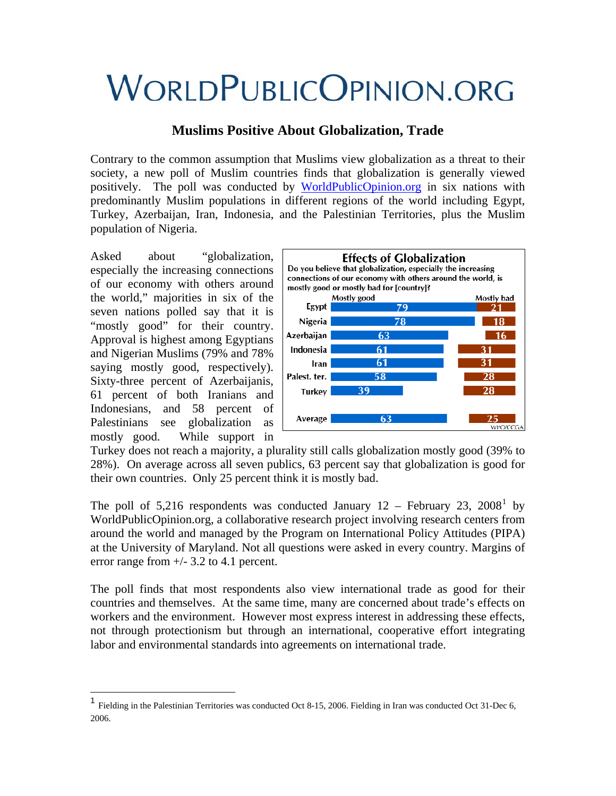# **WORLDPUBLICOPINION.ORG**

# **Muslims Positive About Globalization, Trade**

Contrary to the common assumption that Muslims view globalization as a threat to their society, a new poll of Muslim countries finds that globalization is generally viewed positively. The poll was conducted by [WorldPublicOpinion.org](http://www.worldpublicopinion.org/) in six nations with predominantly Muslim populations in different regions of the world including Egypt, Turkey, Azerbaijan, Iran, Indonesia, and the Palestinian Territories, plus the Muslim population of Nigeria.

Asked about "globalization, especially the increasing connections of our economy with others around the world," majorities in six of the seven nations polled say that it is "mostly good" for their country. Approval is highest among Egyptians and Nigerian Muslims (79% and 78% saying mostly good, respectively). Sixty-three percent of Azerbaijanis, 61 percent of both Iranians and Indonesians, and 58 percent of Palestinians see globalization as mostly good. While support in

1



Turkey does not reach a majority, a plurality still calls globalization mostly good (39% to 28%). On average across all seven publics, 63 percent say that globalization is good for their own countries. Only 25 percent think it is mostly bad.

The poll of 5,2[1](#page-0-0)6 respondents was conducted January  $12$  – February 23, 2008<sup>1</sup> by WorldPublicOpinion.org, a collaborative research project involving research centers from around the world and managed by the Program on International Policy Attitudes (PIPA) at the University of Maryland. Not all questions were asked in every country. Margins of error range from  $+/- 3.2$  to 4.1 percent.

The poll finds that most respondents also view international trade as good for their countries and themselves. At the same time, many are concerned about trade's effects on workers and the environment. However most express interest in addressing these effects, not through protectionism but through an international, cooperative effort integrating labor and environmental standards into agreements on international trade.

<span id="page-0-0"></span><sup>1</sup> Fielding in the Palestinian Territories was conducted Oct 8-15, 2006. Fielding in Iran was conducted Oct 31-Dec 6, 2006.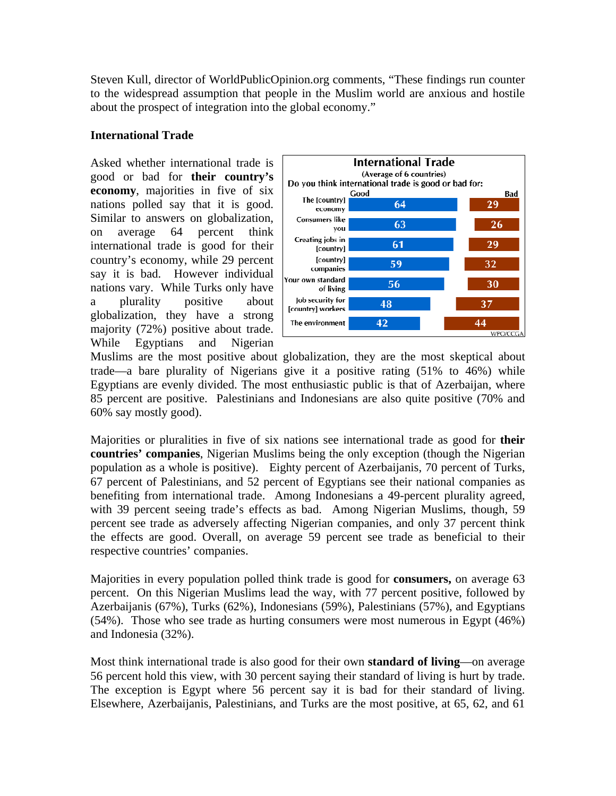Steven Kull, director of WorldPublicOpinion.org comments, "These findings run counter to the widespread assumption that people in the Muslim world are anxious and hostile about the prospect of integration into the global economy."

## **International Trade**

Asked whether international trade is good or bad for **their country's economy**, majorities in five of six nations polled say that it is good. Similar to answers on globalization, on average 64 percent think international trade is good for their country's economy, while 29 percent say it is bad. However individual nations vary. While Turks only have a plurality positive about globalization, they have a strong majority (72%) positive about trade. While Egyptians and Nigerian



Muslims are the most positive about globalization, they are the most skeptical about trade—a bare plurality of Nigerians give it a positive rating (51% to 46%) while Egyptians are evenly divided. The most enthusiastic public is that of Azerbaijan, where 85 percent are positive. Palestinians and Indonesians are also quite positive (70% and 60% say mostly good).

Majorities or pluralities in five of six nations see international trade as good for **their countries' companies**, Nigerian Muslims being the only exception (though the Nigerian population as a whole is positive). Eighty percent of Azerbaijanis, 70 percent of Turks, 67 percent of Palestinians, and 52 percent of Egyptians see their national companies as benefiting from international trade. Among Indonesians a 49-percent plurality agreed, with 39 percent seeing trade's effects as bad. Among Nigerian Muslims, though, 59 percent see trade as adversely affecting Nigerian companies, and only 37 percent think the effects are good. Overall, on average 59 percent see trade as beneficial to their respective countries' companies.

Majorities in every population polled think trade is good for **consumers,** on average 63 percent. On this Nigerian Muslims lead the way, with 77 percent positive, followed by Azerbaijanis (67%), Turks (62%), Indonesians (59%), Palestinians (57%), and Egyptians (54%). Those who see trade as hurting consumers were most numerous in Egypt (46%) and Indonesia (32%).

Most think international trade is also good for their own **standard of living**—on average 56 percent hold this view, with 30 percent saying their standard of living is hurt by trade. The exception is Egypt where 56 percent say it is bad for their standard of living. Elsewhere, Azerbaijanis, Palestinians, and Turks are the most positive, at 65, 62, and 61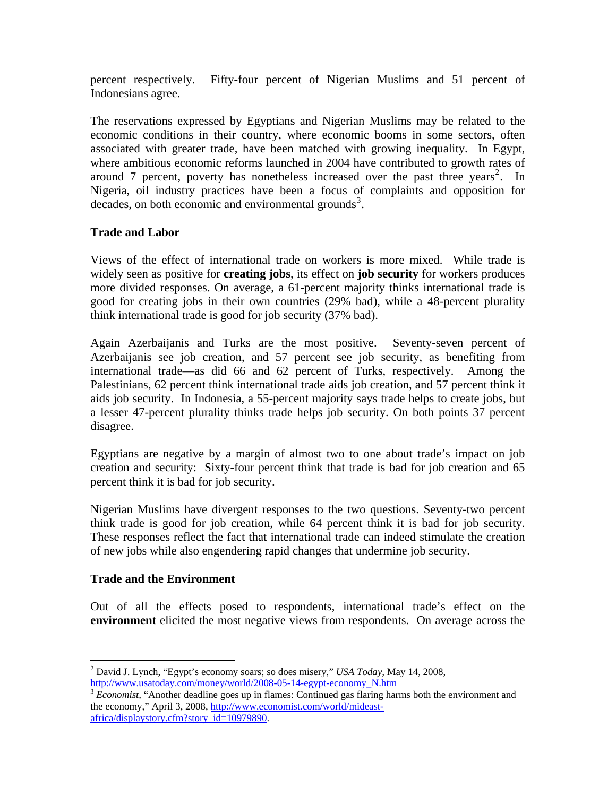percent respectively. Fifty-four percent of Nigerian Muslims and 51 percent of Indonesians agree.

The reservations expressed by Egyptians and Nigerian Muslims may be related to the economic conditions in their country, where economic booms in some sectors, often associated with greater trade, have been matched with growing inequality. In Egypt, where ambitious economic reforms launched in 2004 have contributed to growth rates of around 7 percent, poverty has nonetheless increased over the past three years<sup>[2](#page-2-0)</sup>. In Nigeria, oil industry practices have been a focus of complaints and opposition for  $decades$ , on both economic and environmental grounds<sup>[3](#page-2-1)</sup>.

#### **Trade and Labor**

Views of the effect of international trade on workers is more mixed. While trade is widely seen as positive for **creating jobs**, its effect on **job security** for workers produces more divided responses. On average, a 61-percent majority thinks international trade is good for creating jobs in their own countries (29% bad), while a 48-percent plurality think international trade is good for job security (37% bad).

Again Azerbaijanis and Turks are the most positive. Seventy-seven percent of Azerbaijanis see job creation, and 57 percent see job security, as benefiting from international trade—as did 66 and 62 percent of Turks, respectively. Among the Palestinians, 62 percent think international trade aids job creation, and 57 percent think it aids job security. In Indonesia, a 55-percent majority says trade helps to create jobs, but a lesser 47-percent plurality thinks trade helps job security. On both points 37 percent disagree.

Egyptians are negative by a margin of almost two to one about trade's impact on job creation and security: Sixty-four percent think that trade is bad for job creation and 65 percent think it is bad for job security.

Nigerian Muslims have divergent responses to the two questions. Seventy-two percent think trade is good for job creation, while 64 percent think it is bad for job security. These responses reflect the fact that international trade can indeed stimulate the creation of new jobs while also engendering rapid changes that undermine job security.

#### **Trade and the Environment**

 $\overline{a}$ 

Out of all the effects posed to respondents, international trade's effect on the **environment** elicited the most negative views from respondents. On average across the

<span id="page-2-0"></span><sup>2</sup> David J. Lynch, "Egypt's economy soars; so does misery," *USA Today,* May 14, 2008, [http://www.usatoday.com/money/world/2008-05-14-egypt-economy\\_N.htm](http://www.usatoday.com/money/world/2008-05-14-egypt-economy_N.htm)

<span id="page-2-1"></span><sup>3</sup> *Economist,* "Another deadline goes up in flames: Continued gas flaring harms both the environment and the economy," April 3, 2008, [http://www.economist.com/world/mideast](http://www.economist.com/world/mideast-africa/displaystory.cfm?story_id=10979890)[africa/displaystory.cfm?story\\_id=10979890](http://www.economist.com/world/mideast-africa/displaystory.cfm?story_id=10979890).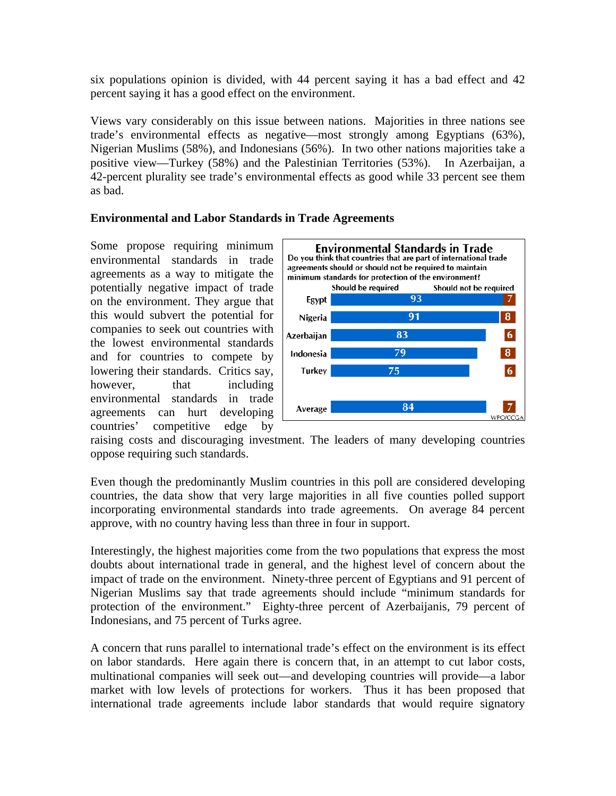six populations opinion is divided, with 44 percent saying it has a bad effect and 42 percent saying it has a good effect on the environment.

Views vary considerably on this issue between nations. Majorities in three nations see trade's environmental effects as negative—most strongly among Egyptians (63%), Nigerian Muslims (58%), and Indonesians (56%). In two other nations majorities take a positive view—Turkey (58%) and the Palestinian Territories (53%). In Azerbaijan, a 42-percent plurality see trade's environmental effects as good while 33 percent see them as bad.

## **Environmental and Labor Standards in Trade Agreements**

Some propose requiring minimum environmental standards in trade agreements as a way to mitigate the potentially negative impact of trade on the environment. They argue that this would subvert the potential for companies to seek out countries with the lowest environmental standards and for countries to compete by lowering their standards. Critics say, however, that including environmental standards in trade agreements can hurt developing countries' competitive edge by



raising costs and discouraging investment. The leaders of many developing countries oppose requiring such standards.

Even though the predominantly Muslim countries in this poll are considered developing countries, the data show that very large majorities in all five counties polled support incorporating environmental standards into trade agreements. On average 84 percent approve, with no country having less than three in four in support.

Interestingly, the highest majorities come from the two populations that express the most doubts about international trade in general, and the highest level of concern about the impact of trade on the environment. Ninety-three percent of Egyptians and 91 percent of Nigerian Muslims say that trade agreements should include "minimum standards for protection of the environment." Eighty-three percent of Azerbaijanis, 79 percent of Indonesians, and 75 percent of Turks agree.

A concern that runs parallel to international trade's effect on the environment is its effect on labor standards. Here again there is concern that, in an attempt to cut labor costs, multinational companies will seek out—and developing countries will provide—a labor market with low levels of protections for workers. Thus it has been proposed that international trade agreements include labor standards that would require signatory